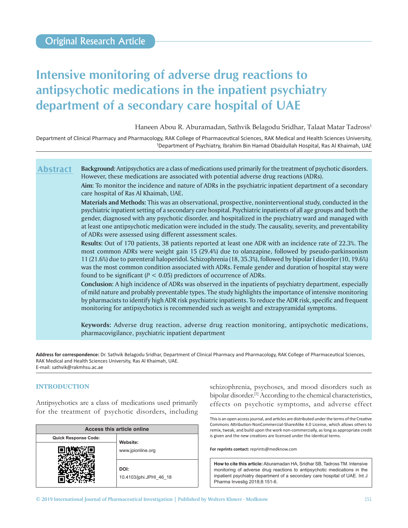# **Intensive monitoring of adverse drug reactions to antipsychotic medications in the inpatient psychiatry department of a secondary care hospital of UAE**

Haneen Abou R. Aburamadan, Sathvik Belagodu Sridhar, Talaat Matar Tadross<sup>1</sup>

Department of Clinical Pharmacy and Pharmacology, RAK College of Pharmaceutical Sciences, RAK Medical and Health Sciences University, 1 Department of Psychiatry, Ibrahim Bin Hamad Obaidullah Hospital, Ras Al Khaimah, UAE

**Background:** Antipsychotics are a class of medications used primarily for the treatment of psychotic disorders. However, these medications are associated with potential adverse drug reactions (ADRs). **Abstract**

**Aim:** To monitor the incidence and nature of ADRs in the psychiatric inpatient department of a secondary care hospital of Ras Al Khaimah, UAE.

**Materials and Methods:** This was an observational, prospective, noninterventional study, conducted in the psychiatric inpatient setting of a secondary care hospital. Psychiatric inpatients of all age groups and both the gender, diagnosed with any psychotic disorder, and hospitalized in the psychiatry ward and managed with at least one antipsychotic medication were included in the study. The causality, severity, and preventability of ADRs were assessed using different assessment scales.

**Results:** Out of 170 patients, 38 patients reported at least one ADR with an incidence rate of 22.3%. The most common ADRs were weight gain 15 (29.4%) due to olanzapine, followed by pseudo-parkinsonism 11 (21.6%) due to parenteral haloperidol. Schizophrenia (18, 35.3%), followed by bipolar I disorder (10, 19.6%) was the most common condition associated with ADRs. Female gender and duration of hospital stay were found to be significant ( $P < 0.05$ ) predictors of occurrence of ADRs.

**Conclusion:** A high incidence of ADRs was observed in the inpatients of psychiatry department, especially of mild nature and probably preventable types. The study highlights the importance of intensive monitoring by pharmacists to identify high ADR risk psychiatric inpatients. To reduce the ADR risk, specific and frequent monitoring for antipsychotics is recommended such as weight and extrapyramidal symptoms.

**Keywords:** Adverse drug reaction, adverse drug reaction monitoring, antipsychotic medications, pharmacovigilance, psychiatric inpatient department

**Address for correspondence:** Dr. Sathvik Belagodu Sridhar, Department of Clinical Pharmacy and Pharmacology, RAK College of Pharmaceutical Sciences, RAK Medical and Health Sciences University, Ras Al Khaimah, UAE. E‑mail: sathvik@rakmhsu.ac.ae

# **INTRODUCTION**

Antipsychotics are a class of medications used primarily for the treatment of psychotic disorders, including

| Access this article online  |                                 |  |
|-----------------------------|---------------------------------|--|
| <b>Quick Response Code:</b> | Website:                        |  |
|                             | www.jpionline.org               |  |
|                             | DOI:<br>10.4103/jphi.JPHI 46 18 |  |

schizophrenia, psychoses, and mood disorders such as bipolar disorder.<sup>[1]</sup> According to the chemical characteristics, effects on psychotic symptoms, and adverse effect

This is an open access journal, and articles are distributed under the terms of the Creative Commons Attribution‑NonCommercial‑ShareAlike 4.0 License, which allows others to remix, tweak, and build upon the work non‑commercially, as long as appropriate credit is given and the new creations are licensed under the identical terms.

**For reprints contact:** reprints@medknow.com

**How to cite this article:** Aburamadan HA, Sridhar SB, Tadross TM. Intensive monitoring of adverse drug reactions to antipsychotic medications in the inpatient psychiatry department of a secondary care hospital of UAE. Int J Pharma Investig 2018;8:151-6.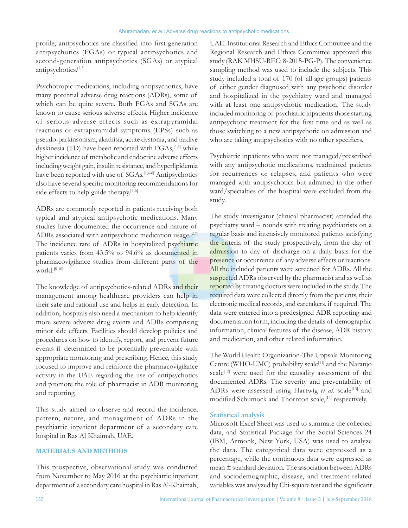profile, antipsychotics are classified into first‑generation antipsychotics (FGAs) or typical antipsychotics and second-generation antipsychotics (SGAs) or atypical antipsychotics.[2,3]

Psychotropic medications, including antipsychotics, have many potential adverse drug reactions (ADRs), some of which can be quite severe. Both FGAs and SGAs are known to cause serious adverse effects. Higher incidence of serious adverse effects such as extrapyramidal reactions or extrapyramidal symptoms (EPSs) such as pseudo-parkinsonism, akathisia, acute dystonia, and tardive dyskinesia (TD) have been reported with FGAs,<sup>[4,5]</sup> while higher incidence of metabolic and endocrine adverse effects including weight gain, insulin resistance, and hyperlipidemia have been reported with use of SGAs.<sup>[1,4-6]</sup> Antipsychotics also have several specific monitoring recommendations for side effects to help guide therapy.<sup>[4-6]</sup>

ADRs are commonly reported in patients receiving both typical and atypical antipsychotic medications. Many studies have documented the occurrence and nature of ADRs associated with antipsychotic medication usage. $[2,7]$ The incidence rate of ADRs in hospitalized psychiatric patients varies from 43.5% to 94.6% as documented in pharmacovigilance studies from different parts of the world.[8-10]

The knowledge of antipsychotics-related ADRs and their management among healthcare providers can help in their safe and rational use and helps in early detection. In addition, hospitals also need a mechanism to help identify more severe adverse drug events and ADRs comprising minor side effects. Facilities should develop policies and procedures on how to identify, report, and prevent future events if determined to be potentially preventable with appropriate monitoring and prescribing. Hence, this study focused to improve and reinforce the pharmacovigilance activity in the UAE regarding the use of antipsychotics and promote the role of pharmacist in ADR monitoring and reporting.

This study aimed to observe and record the incidence, pattern, nature, and management of ADRs in the psychiatric inpatient department of a secondary care hospital in Ras Al Khaimah, UAE.

# **MATERIALS AND METHODS**

This prospective, observational study was conducted from November to May 2016 at the psychiatric inpatient department of a secondary care hospital in Ras Al-Khaimah, UAE. Institutional Research and Ethics Committee and the Regional Research and Ethics Committee approved this study (RAK MHSU-REC: 8-2015-PG-P). The convenience sampling method was used to include the subjects. This study included a total of 170 (of all age groups) patients of either gender diagnosed with any psychotic disorder and hospitalized in the psychiatry ward and managed with at least one antipsychotic medication. The study included monitoring of psychiatric inpatients those starting antipsychotic treatment for the first time and as well as those switching to a new antipsychotic on admission and who are taking antipsychotics with no other specifiers.

Psychiatric inpatients who were not managed/prescribed with any antipsychotic medications, readmitted patients for recurrences or relapses, and patients who were managed with antipsychotics but admitted in the other ward/specialties of the hospital were excluded from the study.

The study investigator (clinical pharmacist) attended the psychiatry ward – rounds with treating psychiatrists on a regular basis and intensively monitored patients satisfying the criteria of the study prospectively, from the day of admission to day of discharge on a daily basis for the presence or occurrence of any adverse effects or reactions. All the included patients were screened for ADRs. All the suspected ADRs observed by the pharmacist and as well as reported by treating doctors were included in the study. The required data were collected directly from the patients, their electronic medical records, and caretakers, if required. The data were entered into a predesigned ADR reporting and documentation form, including the details of demographic information, clinical features of the disease, ADR history and medication, and other related information.

The World Health Organization-The Uppsala Monitoring Centre (WHO-UMC) probability scale<sup>[11]</sup> and the Naranjo scale<sup>[12]</sup> were used for the causality assessment of the documented ADRs. The severity and preventability of ADRs were assessed using Hartwig et al. scale<sup>[13]</sup> and modified Schumock and Thornton scale, <a>[14]</a> respectively.

# **Statistical analysis**

Microsoft Excel Sheet was used to summate the collected data, and Statistical Package for the Social Sciences 24 (IBM, Armonk, New York, USA) was used to analyze the data. The categorical data were expressed as a percentage, while the continuous data were expressed as mean ± standard deviation. The association between ADRs and sociodemographic, disease, and treatment-related variables was analyzed by Chi‑square test and the significant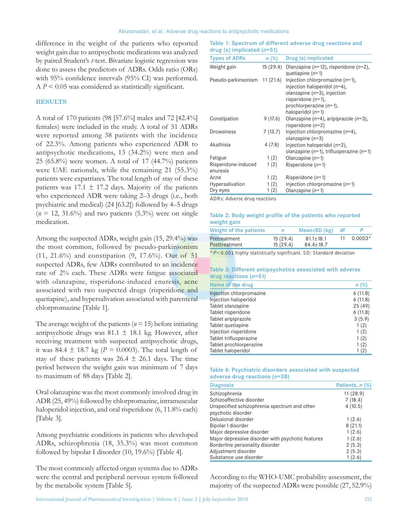difference in the weight of the patients who reported weight gain due to antipsychotic medications was analyzed by paired Student's *t*-test. Bivariate logistic regression was done to assess the predictors of ADRs. Odds ratio (ORs) with 95% confidence intervals (95% CI) was performed. A *P* < 0.05 was considered as statistically significant.

## **RESULTS**

A total of 170 patients (98 [57.6%] males and 72 [42.4%] females) were included in the study. A total of 51 ADRs were reported among 38 patients with the incidence of 22.3%. Among patients who experienced ADR to antipsychotic medications, 13 (34.2%) were men and 25 (65.8%) were women. A total of 17 (44.7%) patients were UAE nationals, while the remaining 21 (55.3%) patients were expatriates. The total length of stay of these patients was 17.1  $\pm$  17.2 days. Majority of the patients who experienced ADR were taking 2–3 drugs (i.e., both psychiatric and medical) (24 [63.2]) followed by 4–5 drugs  $(n = 12, 31.6\%)$  and two patients  $(5.3\%)$  were on single medication.

Among the suspected ADRs, weight gain (15, 29.4%) was the most common, followed by pseudo-parkinsonism (11, 21.6%) and constipation (9, 17.6%). Out of 51 suspected ADRs, few ADRs contributed to an incidence rate of 2% each. These ADRs were fatigue associated with olanzapine, risperidone-induced enuresis, acne associated with two suspected drugs (risperidone and quetiapine), and hypersalivation associated with parenteral chlorpromazine [Table 1].

The average weight of the patients  $(n = 15)$  before initiating antipsychotic drugs was 81.1  $\pm$  18.1 kg. However, after receiving treatment with suspected antipsychotic drugs, it was 84.4  $\pm$  18.7 kg (*P* = 0.0003). The total length of stay of these patients was  $26.4 \pm 26.1$  days. The time period between the weight gain was minimum of 7 days to maximum of 88 days [Table 2].

Oral olanzapine was the most commonly involved drug in ADR (25, 49%) followed by chlorpromazine, intramuscular haloperidol injection, and oral risperidone (6, 11.8% each) [Table 3].

Among psychiatric conditions in patients who developed ADRs, schizophrenia (18, 35.3%) was most common followed by bipolar I disorder (10, 19.6%) [Table 4].

The most commonly affected organ systems due to ADRs were the central and peripheral nervous system followed by the metabolic system [Table 5].

| <b>Types of ADRs</b>            | n(%)      | Drug (s) implicated                                                                                                                                                                   |
|---------------------------------|-----------|---------------------------------------------------------------------------------------------------------------------------------------------------------------------------------------|
| Weight gain                     | 15 (29.4) | Olanzapine ( $n=12$ ), risperidone ( $n=2$ ),<br>quetiapine $(n=1)$                                                                                                                   |
| Pseudo-parkinsonism 11 (21.6)   |           | Injection chlorpromazine $(n=1)$ ,<br>injection haloperidol $(n=4)$ ,<br>olanzapine $(n=3)$ , injection<br>risperidone $(n=1)$ ,<br>prochlorperazine $(n=1)$ ,<br>haloperidol $(n=1)$ |
| Constipation                    | 9 (17.6)  | Olanzapine ( $n=4$ ), aripiprazole ( $n=3$ ),<br>risperidone $(n=2)$                                                                                                                  |
| Drowsiness                      | 7 (13.7)  | Injection chlorpromazine $(n=4)$ ,<br>olanzapine $(n=3)$                                                                                                                              |
| Akathisia                       | 4(7.8)    | Injection haloperidol $(n=2)$ ,<br>olanzapine ( $n=1$ ), trifluoperazine ( $n=1$ )                                                                                                    |
| Fatigue                         | 1(2)      | Olanzapine $(n=1)$                                                                                                                                                                    |
| Risperidone-induced<br>enuresis | 1(2)      | Risperidone $(n=1)$                                                                                                                                                                   |
| Acne                            | 1(2)      | Risperidone $(n=1)$                                                                                                                                                                   |
| Hypersalivation                 | 1(2)      | Injection chlorpromazine $(n=1)$                                                                                                                                                      |
| Dry eyes                        | 1 (2)     | Olanzapine $(n=1)$                                                                                                                                                                    |

ADRs: Adverse drug reactions

#### **Table 2: Body weight profile of the patients who reported weight gain**

| Weight of the patients        |                      | Mean $\pm$ SD ( $kg$ )             | -df |           |
|-------------------------------|----------------------|------------------------------------|-----|-----------|
| Pretreatment<br>Posttreatment | 15(29.4)<br>15(29.4) | $81.1 \pm 18.1$<br>$84.4 \pm 18.7$ |     | $0.0003*$ |

\**P*<0.001 highly statistically significant. SD: Standard deviation

#### **Table 3: Different antipsychotics associated with adverse drug reactions (***n***=51)**

| Name of the drug         | (% )<br>n |
|--------------------------|-----------|
| Injection chlorpromazine | 6(11.8)   |
| Injection haloperidol    | 6(11.8)   |
| Tablet olanzapine        | 25 (49)   |
| Tablet risperidone       | 6(11.8)   |
| Tablet aripiprazole      | 3(5.9)    |
| Tablet quetiapine        | 1(2)      |
| Injection risperidone    | 1(2)      |
| Tablet trifluoperazine   | 1(2)      |
| Tablet prochlorperazine  | 1(2)      |
| Tablet haloperidol       | (2)       |

#### **Table 4: Psychiatric disorders associated with suspected adverse drug reactions (***n***=38)**

| <b>Diagnosis</b>                                  | Patients, n (%) |
|---------------------------------------------------|-----------------|
| Schizophrenia                                     | 11(28.9)        |
| Schizoaffective disorder                          | 7(18.4)         |
| Unspecified schizophrenia spectrum and other      | 4(10.5)         |
| psychotic disorder                                |                 |
| Delusional disorder                               | 1(2.6)          |
| Bipolar I disorder                                | 8(21.1)         |
| Major depressive disorder                         | 1(2.6)          |
| Major depressive disorder with psychotic features | 1(2.6)          |
| Borderline personality disorder                   | 2(5.3)          |
| Adjustment disorder                               | 2(5.3)          |
| Substance use disorder                            | 1(2.6)          |

According to the WHO-UMC probability assessment, the majority of the suspected ADRs were possible (27, 52.9%)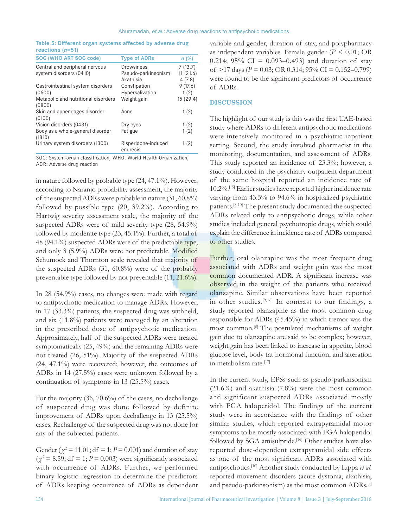**Table 5: Different organ systems affected by adverse drug reactions (***n***=51)**

| <b>SOC (WHO ART SOC code)</b>                 | <b>Type of ADRs</b>             | n(%)     |
|-----------------------------------------------|---------------------------------|----------|
| Central and peripheral nervous                | Drowsiness                      | 7(13.7)  |
| system disorders (0410)                       | Pseudo-parkinsonism             | 11(21.6) |
|                                               | Akathisia                       | 4(7.8)   |
| Gastrointestinal system disorders             | Constipation                    | 9(17.6)  |
| (0600)                                        | Hypersalivation                 | 1(2)     |
| Metabolic and nutritional disorders<br>(0800) | Weight gain                     | 15(29.4) |
| Skin and appendages disorder<br>(0100)        | Acne                            | 1(2)     |
| Vision disorders (0431)                       | Dry eyes                        | 1(2)     |
| Body as a whole-general disorder<br>(1810)    | Fatigue                         | 1(2)     |
| Urinary system disorders (1300)               | Risperidone-induced<br>enuresis | 1(2)     |

SOC: System‑organ classification, WHO: World Health Organization, ADR: Adverse drug reaction

in nature followed by probable type (24, 47.1%). However, according to Naranjo probability assessment, the majority of the suspected ADRs were probable in nature (31, 60.8%) followed by possible type (20, 39.2%). According to Hartwig severity assessment scale, the majority of the suspected ADRs were of mild severity type (28, 54.9%) followed by moderate type (23, 45.1%). Further, a total of 48 (94.1%) suspected ADRs were of the predictable type, and only 3 (5.9%) ADRs were not predictable. Modified Schumock and Thornton scale revealed that majority of the suspected ADRs (31, 60.8%) were of the probably preventable type followed by not preventable (11, 21.6%).

In 28 (54.9%) cases, no changes were made with regard to antipsychotic medication to manage ADRs. However, in 17 (33.3%) patients, the suspected drug was withheld, and six (11.8%) patients were managed by an alteration in the prescribed dose of antipsychotic medication. Approximately, half of the suspected ADRs were treated symptomatically (25, 49%) and the remaining ADRs were not treated (26, 51%). Majority of the suspected ADRs (24, 47.1%) were recovered; however, the outcomes of ADRs in 14 (27.5%) cases were unknown followed by a continuation of symptoms in 13 (25.5%) cases.

For the majority (36, 70.6%) of the cases, no dechallenge of suspected drug was done followed by definite improvement of ADRs upon dechallenge in 13 (25.5%) cases. Rechallenge of the suspected drug was not done for any of the subjected patients.

Gender ( $\chi^2$  = 11.01; df = 1; *P* = 0.001) and duration of stay  $(\chi^2 = 8.59; df = 1; P = 0.003)$  were significantly associated with occurrence of ADRs. Further, we performed binary logistic regression to determine the predictors of ADRs keeping occurrence of ADRs as dependent variable and gender, duration of stay, and polypharmacy as independent variables. Female gender (*P* < 0.01; OR 0.214; 95% CI = 0.093–0.493) and duration of stay of  $>17$  days ( $P = 0.03$ ; OR 0.314; 95% CI = 0.152–0.799) were found to be the significant predictors of occurrence of ADRs.

## **DISCUSSION**

The highlight of our study is this was the first UAE-based study where ADRs to different antipsychotic medications were intensively monitored in a psychiatric inpatient setting. Second, the study involved pharmacist in the monitoring, documentation, and assessment of ADRs. This study reported an incidence of 23.3%; however, a study conducted in the psychiatry outpatient department of the same hospital reported an incidence rate of 10.2%.[15] Earlier studies have reported higher incidence rate varying from 43.5% to 94.6% in hospitalized psychiatric patients.[8-10] The present study documented the suspected ADRs related only to antipsychotic drugs, while other studies included general psychotropic drugs, which could explain the difference in incidence rate of ADRs compared to other studies.

Further, oral olanzapine was the most frequent drug associated with ADRs and weight gain was the most common documented ADR. A significant increase was observed in the weight of the patients who received olanzapine. Similar observations have been reported in other studies.[9,16] In contrast to our findings, a study reported olanzapine as the most common drug responsible for ADRs (45.45%) in which tremor was the most common.[8] The postulated mechanisms of weight gain due to olanzapine are said to be complex; however, weight gain has been linked to increase in appetite, blood glucose level, body fat hormonal function, and alteration in metabolism rate.<sup>[17]</sup>

In the current study, EPSs such as pseudo-parkinsonism  $(21.6\%)$  and akathisia  $(7.8\%)$  were the most common and significant suspected ADRs associated mostly with FGA haloperidol. The findings of the current study were in accordance with the findings of other similar studies, which reported extrapyramidal motor symptoms to be mostly associated with FGA haloperidol followed by SGA amisulpride.<sup>[16]</sup> Other studies have also reported dose-dependent extrapyramidal side effects as one of the most significant ADRs associated with antipsychotics.[10] Another study conducted by Iuppa *et al*. reported movement disorders (acute dystonia, akathisia, and pseudo-parkinsonism) as the most common ADRs.[3]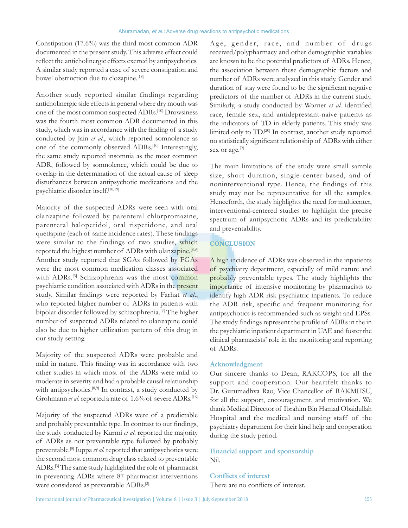Constipation (17.6%) was the third most common ADR documented in the present study. This adverse effect could reflect the anticholinergic effects exerted by antipsychotics. A similar study reported a case of severe constipation and bowel obstruction due to clozapine.<sup>[18]</sup>

Another study reported similar findings regarding anticholinergic side effects in general where dry mouth was one of the most common suspected ADRs.[10] Drowsiness was the fourth most common ADR documented in this study, which was in accordance with the finding of a study conducted by Jain *et al*., which reported somnolence as one of the commonly observed ADRs.[10] Interestingly, the same study reported insomnia as the most common ADR, followed by somnolence, which could be due to overlap in the determination of the actual cause of sleep disturbances between antipsychotic medications and the psychiatric disorder itself.[10,19]

Majority of the suspected ADRs were seen with oral olanzapine followed by parenteral chlorpromazine, parenteral haloperidol, oral risperidone, and oral quetiapine (each of same incidence rates). These findings were similar to the findings of two studies, which reported the highest number of ADRs with olanzapine.<sup>[8,9]</sup> Another study reported that SGAs followed by FGAs were the most common medication classes associated with ADRs.<sup>[3]</sup> Schizophrenia was the most common psychiatric condition associated with ADRs in the present study. Similar findings were reported by Farhat *et al*., who reported higher number of ADRs in patients with bipolar disorder followed by schizophrenia.[9] The higher number of suspected ADRs related to olanzapine could also be due to higher utilization pattern of this drug in our study setting.

Majority of the suspected ADRs were probable and mild in nature. This finding was in accordance with two other studies in which most of the ADRs were mild to moderate in severity and had a probable causal relationship with antipsychotics.<sup>[8,9]</sup> In contrast, a study conducted by Grohmann *et al.* reported a rate of 1.6% of severe ADRs.<sup>[16]</sup>

Majority of the suspected ADRs were of a predictable and probably preventable type. In contrast to our findings, the study conducted by Kurmi *et al*. reported the majority of ADRs as not preventable type followed by probably preventable.[8] Iuppa *et al*. reported that antipsychotics were the second most common drug class related to preventable ADRs.[3] The same study highlighted the role of pharmacist in preventing ADRs where 87 pharmacist interventions were considered as preventable ADRs.[3]

Age, gender, race, and number of drugs received/polypharmacy and other demographic variables are known to be the potential predictors of ADRs. Hence, the association between these demographic factors and number of ADRs were analyzed in this study. Gender and duration of stay were found to be the significant negative predictors of the number of ADRs in the current study. Similarly, a study conducted by Worner *et al*. identified race, female sex, and antidepressant-naive patients as the indicators of TD in elderly patients. This study was limited only to TD.[20] In contrast, another study reported no statistically significant relationship of ADRs with either sex or age.<sup>[9]</sup>

The main limitations of the study were small sample size, short duration, single-center-based, and of noninterventional type. Hence, the findings of this study may not be representative for all the samples. Henceforth, the study highlights the need for multicenter, interventional-centered studies to highlight the precise spectrum of antipsychotic ADRs and its predictability and preventability.

# **CONCLUSION**

A high incidence of ADRs was observed in the inpatients of psychiatry department, especially of mild nature and probably preventable types. The study highlights the importance of intensive monitoring by pharmacists to identify high ADR risk psychiatric inpatients. To reduce the ADR risk, specific and frequent monitoring for antipsychotics is recommended such as weight and EPSs. The study findings represent the profile of ADRs in the in the psychiatric inpatient department in UAE and foster the clinical pharmacists' role in the monitoring and reporting of ADRs.

# **Acknowledgment**

Our sincere thanks to Dean, RAKCOPS, for all the support and cooperation. Our heartfelt thanks to Dr. Gurumadhva Rao, Vice Chancellor of RAKMHSU, for all the support, encouragement, and motivation. We thank Medical Director of Ibrahim Bin Hamad Obaidullah Hospital and the medical and nursing staff of the psychiatry department for their kind help and cooperation during the study period.

# **Financial support and sponsorship** Nil.

**Conflicts of interest** There are no conflicts of interest.